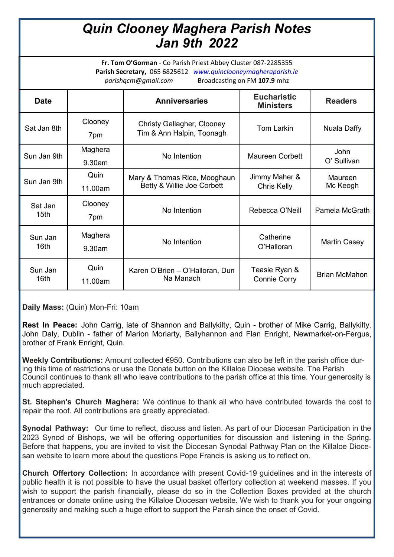## *Quin Clooney Maghera Parish Notes Jan 9th 2022*

**Fr. Tom O'Gorman** - Co Parish Priest Abbey Cluster 087-2285355 **Parish Secretary,** 065 6825612 *www.quinclooneymagheraparish.ie parishqcm@gmail.com* Broadcasting on FM **107.9** mhz

| <b>Date</b>                 |                   | <b>Anniversaries</b>                                           | <b>Eucharistic</b><br><b>Ministers</b> | <b>Readers</b>             |
|-----------------------------|-------------------|----------------------------------------------------------------|----------------------------------------|----------------------------|
| Sat Jan 8th                 | Clooney<br>7pm    | <b>Christy Gallagher, Clooney</b><br>Tim & Ann Halpin, Toonagh | <b>Tom Larkin</b>                      | Nuala Daffy                |
| Sun Jan 9th                 | Maghera<br>9.30am | No Intention                                                   | <b>Maureen Corbett</b>                 | <b>John</b><br>O' Sullivan |
| Sun Jan 9th                 | Quin<br>11.00am   | Mary & Thomas Rice, Mooghaun<br>Betty & Willie Joe Corbett     | Jimmy Maher &<br>Chris Kelly           | Maureen<br>Mc Keogh        |
| Sat Jan<br>15 <sub>th</sub> | Clooney<br>7pm    | No Intention                                                   | Rebecca O'Neill                        | Pamela McGrath             |
| Sun Jan<br>16th             | Maghera<br>9.30am | No Intention                                                   | Catherine<br>O'Halloran                | <b>Martin Casey</b>        |
| Sun Jan<br>16th             | Quin<br>11.00am   | Karen O'Brien - O'Halloran, Dun<br>Na Manach                   | Teasie Ryan &<br><b>Connie Corry</b>   | <b>Brian McMahon</b>       |

**Daily Mass:** (Quin) Mon-Fri: 10am

**Rest In Peace:** John Carrig, late of Shannon and Ballykilty, Quin - brother of Mike Carrig, Ballykilty. John Daly, Dublin - father of Marion Moriarty, Ballyhannon and Flan Enright, Newmarket-on-Fergus, brother of Frank Enright, Quin.

**Weekly Contributions:** Amount collected €950. Contributions can also be left in the parish office during this time of restrictions or use the Donate button on the Killaloe Diocese website. The Parish Council continues to thank all who leave contributions to the parish office at this time. Your generosity is much appreciated.

**St. Stephen's Church Maghera:** We continue to thank all who have contributed towards the cost to repair the roof. All contributions are greatly appreciated.

**Synodal Pathway:** Our time to reflect, discuss and listen. As part of our Diocesan Participation in the 2023 Synod of Bishops, we will be offering opportunities for discussion and listening in the Spring. Before that happens, you are invited to visit the Diocesan Synodal Pathway Plan on the Killaloe Diocesan website to learn more about the questions Pope Francis is asking us to reflect on.

**Church Offertory Collection:** In accordance with present Covid-19 guidelines and in the interests of public health it is not possible to have the usual basket offertory collection at weekend masses. If you wish to support the parish financially, please do so in the Collection Boxes provided at the church entrances or donate online using the Killaloe Diocesan website. We wish to thank you for your ongoing generosity and making such a huge effort to support the Parish since the onset of Covid.